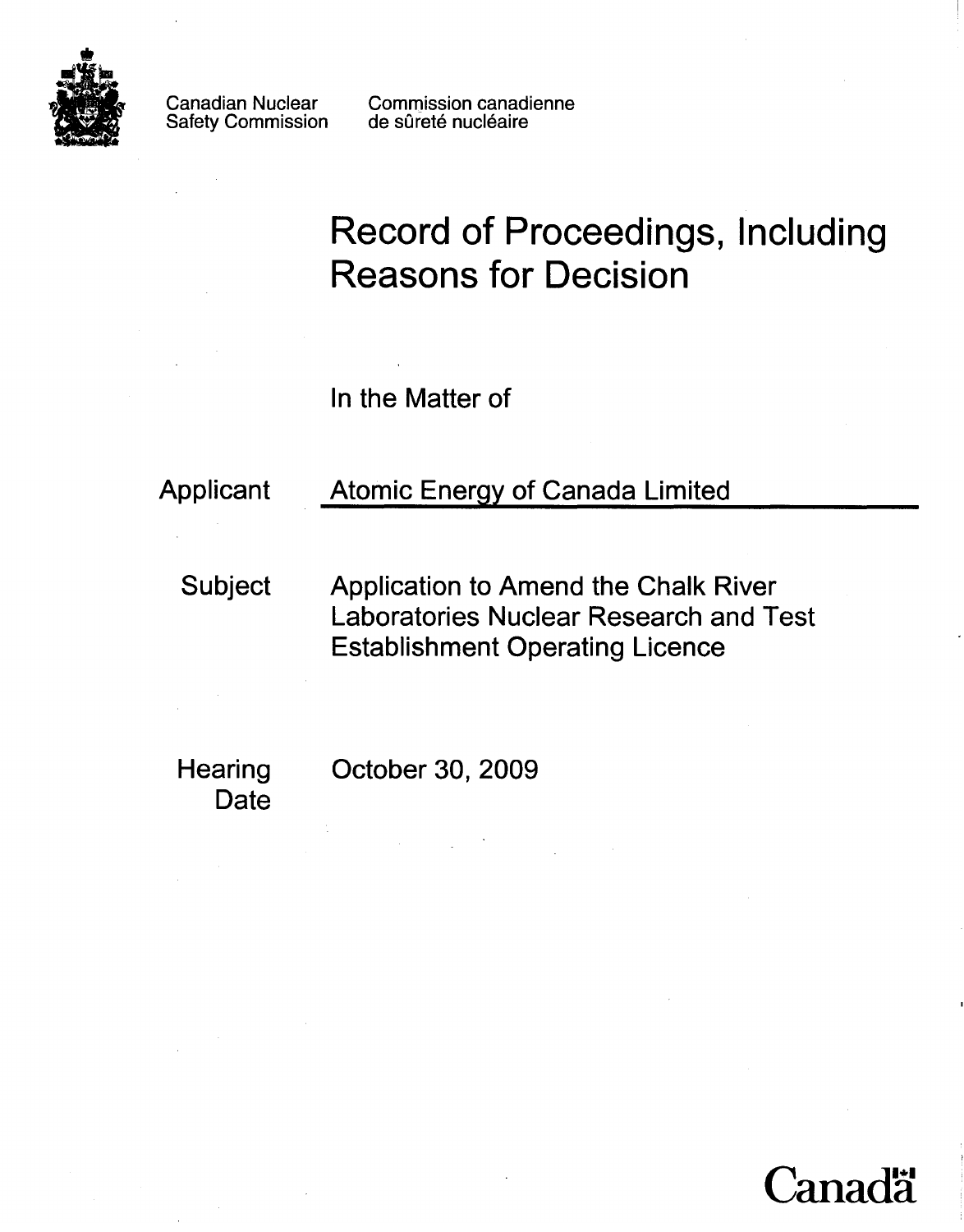

Canadian Nuclear Safety Commission

Commission canadienne de sûreté nucléaire

# **Record of Proceedings, Including Reasons for Decision**

In the Matter of

## Applicant Atomic Energy of Canada Limited

Subject Application to Amend the Chalk River Laboratories Nuclear Research and Test Establishment Operating Licence

Date

Hearing October 30, 2009

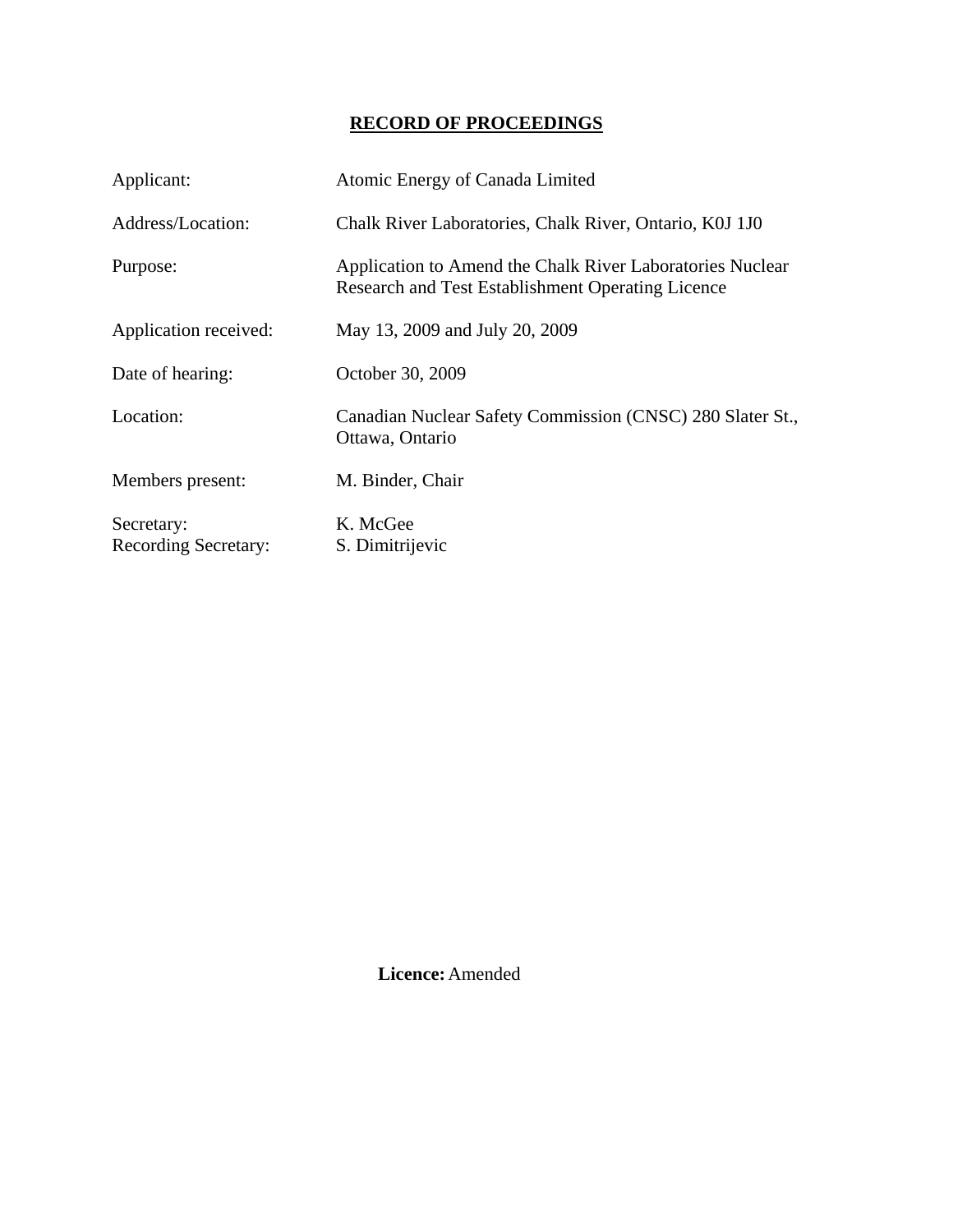### **RECORD OF PROCEEDINGS**

| Applicant:                                | Atomic Energy of Canada Limited                                                                                       |
|-------------------------------------------|-----------------------------------------------------------------------------------------------------------------------|
| Address/Location:                         | Chalk River Laboratories, Chalk River, Ontario, K0J 1J0                                                               |
| Purpose:                                  | Application to Amend the Chalk River Laboratories Nuclear<br><b>Research and Test Establishment Operating Licence</b> |
| Application received:                     | May 13, 2009 and July 20, 2009                                                                                        |
| Date of hearing:                          | October 30, 2009                                                                                                      |
| Location:                                 | Canadian Nuclear Safety Commission (CNSC) 280 Slater St.,<br>Ottawa, Ontario                                          |
| Members present:                          | M. Binder, Chair                                                                                                      |
| Secretary:<br><b>Recording Secretary:</b> | K. McGee<br>S. Dimitrijevic                                                                                           |

 **Licence:** Amended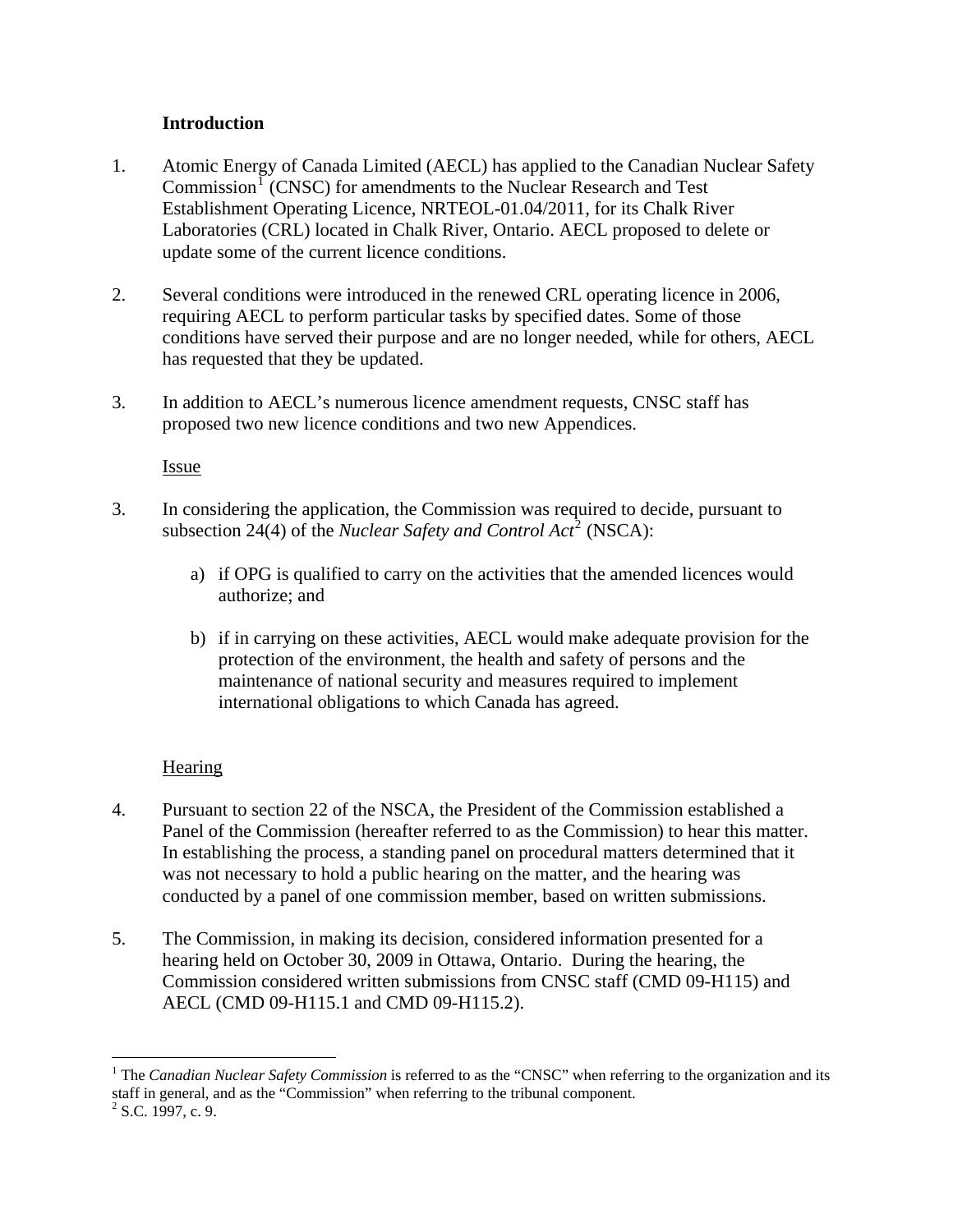#### **Introduction**

- <span id="page-3-0"></span>1. Atomic Energy of Canada Limited (AECL) has applied to the Canadian Nuclear Safety Commission<sup>[1](#page-3-1)</sup> (CNSC) for amendments to the Nuclear Research and Test Establishment Operating Licence, NRTEOL-01.04/2011, for its Chalk River Laboratories (CRL) located in Chalk River, Ontario. AECL proposed to delete or update some of the current licence conditions.
- 2. Several conditions were introduced in the renewed CRL operating licence in 2006, requiring AECL to perform particular tasks by specified dates. Some of those conditions have served their purpose and are no longer needed, while for others, AECL has requested that they be updated.
- 3. In addition to AECL's numerous licence amendment requests, CNSC staff has proposed two new licence conditions and two new Appendices.

Issue

- 3. In considering the application, the Commission was required to decide, pursuant to subsection [2](#page-3-2)4(4) of the *Nuclear Safety and Control Act*<sup>2</sup> (NSCA):
	- a) if OPG is qualified to carry on the activities that the amended licences would authorize; and
	- b) if in carrying on these activities, AECL would make adequate provision for the protection of the environment, the health and safety of persons and the maintenance of national security and measures required to implement international obligations to which Canada has agreed.

#### **Hearing**

- 4. Pursuant to section 22 of the NSCA, the President of the Commission established a Panel of the Commission (hereafter referred to as the Commission) to hear this matter. In establishing the process, a standing panel on procedural matters determined that it was not necessary to hold a public hearing on the matter, and the hearing was conducted by a panel of one commission member, based on written submissions.
- 5. The Commission, in making its decision, considered information presented for a hearing held on October 30, 2009 in Ottawa, Ontario. During the hearing, the Commission considered written submissions from CNSC staff (CMD 09-H115) and AECL (CMD 09-H115.1 and CMD 09-H115.2).

 $\overline{a}$ 

<span id="page-3-1"></span><sup>&</sup>lt;sup>1</sup> The *Canadian Nuclear Safety Commission* is referred to as the "CNSC" when referring to the organization and its staff in general, and as the "Commission" when referring to the tribunal component.

<span id="page-3-2"></span> $2^2$  S.C. 1997, c. 9.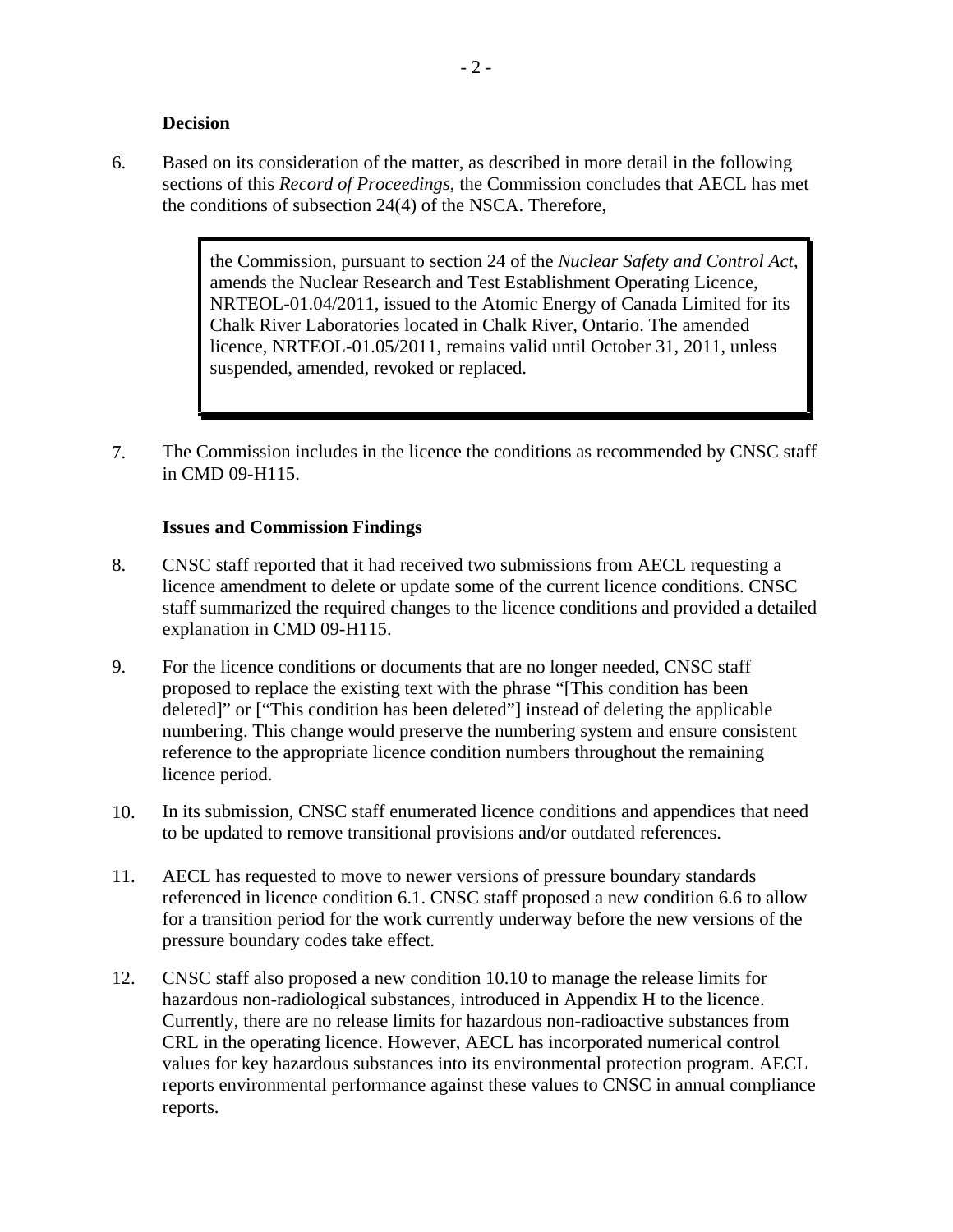#### **Decision**

<span id="page-4-0"></span>6. Based on its consideration of the matter, as described in more detail in the following sections of this *Record of Proceedings*, the Commission concludes that AECL has met the conditions of subsection 24(4) of the NSCA. Therefore,

> the Commission, pursuant to section 24 of the *Nuclear Safety and Control Act*, amends the Nuclear Research and Test Establishment Operating Licence, NRTEOL-01.04/2011, issued to the Atomic Energy of Canada Limited for its Chalk River Laboratories located in Chalk River, Ontario. The amended licence, NRTEOL-01.05/2011, remains valid until October 31, 2011, unless suspended, amended, revoked or replaced.

7. The Commission includes in the licence the conditions as recommended by CNSC staff in CMD 09-H115.

#### **Issues and Commission Findings**

- 8. CNSC staff reported that it had received two submissions from AECL requesting a licence amendment to delete or update some of the current licence conditions. CNSC staff summarized the required changes to the licence conditions and provided a detailed explanation in CMD 09-H115.
- 9. For the licence conditions or documents that are no longer needed, CNSC staff proposed to replace the existing text with the phrase "[This condition has been deleted]" or ["This condition has been deleted"] instead of deleting the applicable numbering. This change would preserve the numbering system and ensure consistent reference to the appropriate licence condition numbers throughout the remaining licence period.
- 10. In its submission, CNSC staff enumerated licence conditions and appendices that need to be updated to remove transitional provisions and/or outdated references.
- 11. AECL has requested to move to newer versions of pressure boundary standards referenced in licence condition 6.1. CNSC staff proposed a new condition 6.6 to allow for a transition period for the work currently underway before the new versions of the pressure boundary codes take effect.
- 12. CNSC staff also proposed a new condition 10.10 to manage the release limits for hazardous non-radiological substances, introduced in Appendix H to the licence. Currently, there are no release limits for hazardous non-radioactive substances from CRL in the operating licence. However, AECL has incorporated numerical control values for key hazardous substances into its environmental protection program. AECL reports environmental performance against these values to CNSC in annual compliance reports.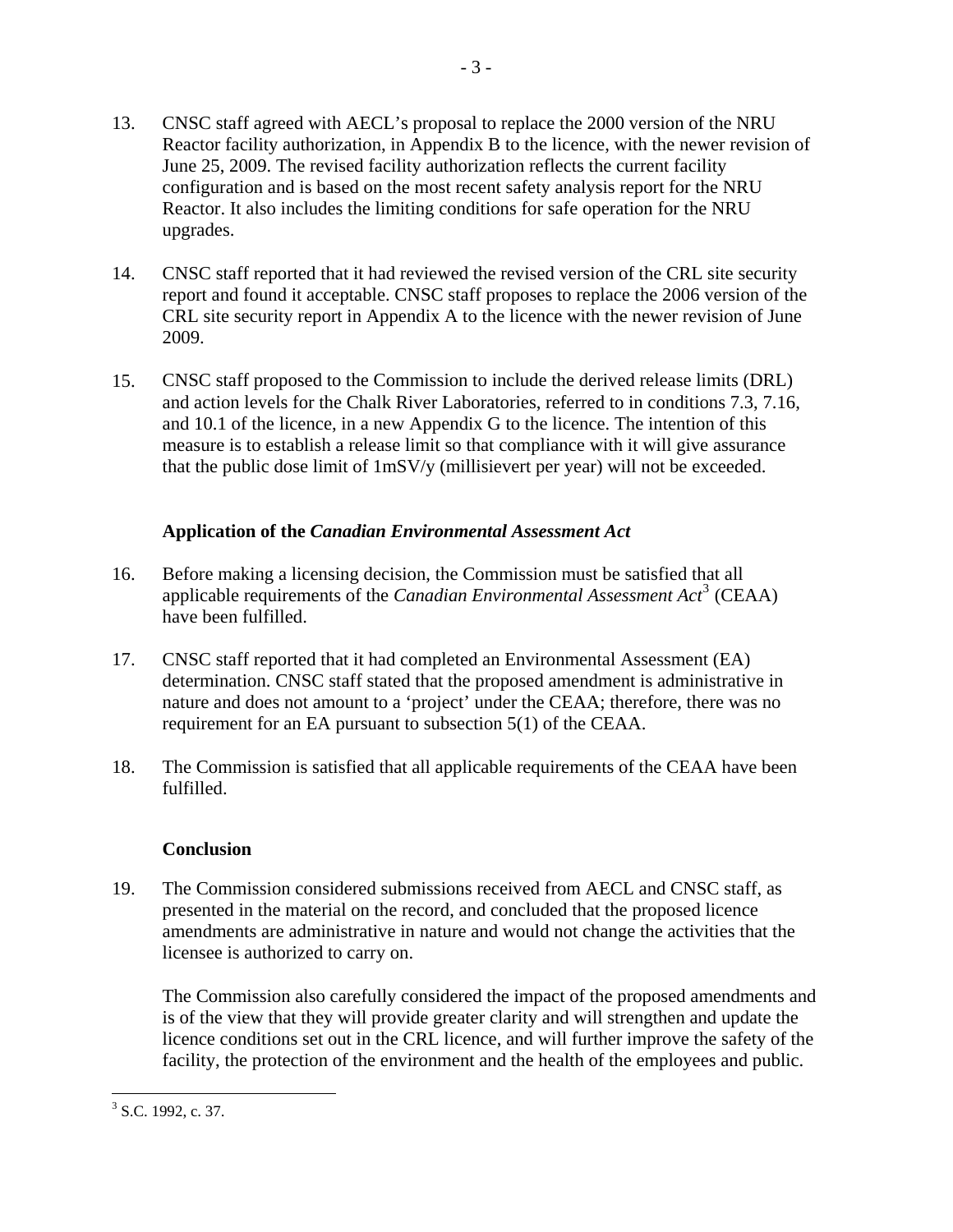<span id="page-5-0"></span>13. CNSC staff agreed with AECL's proposal to replace the 2000 version of the NRU Reactor facility authorization, in Appendix B to the licence, with the newer revision of June 25, 2009. The revised facility authorization reflects the current facility configuration and is based on the most recent safety analysis report for the NRU Reactor. It also includes the limiting conditions for safe operation for the NRU upgrades.

- 3 -

- 14. CNSC staff reported that it had reviewed the revised version of the CRL site security report and found it acceptable. CNSC staff proposes to replace the 2006 version of the CRL site security report in Appendix A to the licence with the newer revision of June 2009.
- 15. CNSC staff proposed to the Commission to include the derived release limits (DRL) and action levels for the Chalk River Laboratories, referred to in conditions 7.3, 7.16, and 10.1 of the licence, in a new Appendix G to the licence. The intention of this measure is to establish a release limit so that compliance with it will give assurance that the public dose limit of 1mSV/y (millisievert per year) will not be exceeded.

#### **Application of the** *Canadian Environmental Assessment Act*

- 16. Before making a licensing decision, the Commission must be satisfied that all applicable requirements of the *Canadian Environmental Assessment Act*<sup>[3](#page-5-1)</sup> (CEAA) have been fulfilled.
- 17. CNSC staff reported that it had completed an Environmental Assessment (EA) determination. CNSC staff stated that the proposed amendment is administrative in nature and does not amount to a 'project' under the CEAA; therefore, there was no requirement for an EA pursuant to subsection 5(1) of the CEAA.
- 18. The Commission is satisfied that all applicable requirements of the CEAA have been fulfilled.

#### **Conclusion**

19. The Commission considered submissions received from AECL and CNSC staff, as presented in the material on the record, and concluded that the proposed licence amendments are administrative in nature and would not change the activities that the licensee is authorized to carry on.

The Commission also carefully considered the impact of the proposed amendments and is of the view that they will provide greater clarity and will strengthen and update the licence conditions set out in the CRL licence, and will further improve the safety of the facility, the protection of the environment and the health of the employees and public.

<span id="page-5-1"></span> $\overline{a}$  $3$  S.C. 1992, c. 37.